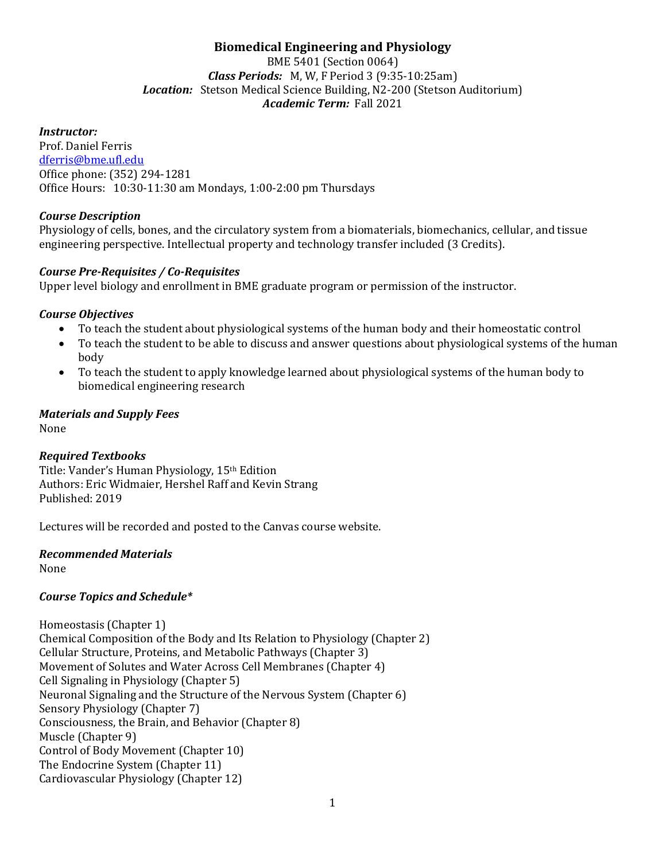# **Biomedical Engineering and Physiology**

BME 5401 (Section 0064) *Class Periods:* M, W, F Period 3 (9:35-10:25am) *Location:* Stetson Medical Science Building, N2-200 (Stetson Auditorium) *Academic Term:* Fall 2021

#### *Instructor:*

Prof. Daniel Ferris [dferris@bme.ufl.edu](mailto:dferris@bme.ufl.edu) Office phone: (352) 294-1281 Office Hours: 10:30-11:30 am Mondays, 1:00-2:00 pm Thursdays

## *Course Description*

Physiology of cells, bones, and the circulatory system from a biomaterials, biomechanics, cellular, and tissue engineering perspective. Intellectual property and technology transfer included (3 Credits).

## *Course Pre-Requisites / Co-Requisites*

Upper level biology and enrollment in BME graduate program or permission of the instructor.

## *Course Objectives*

- To teach the student about physiological systems of the human body and their homeostatic control
- To teach the student to be able to discuss and answer questions about physiological systems of the human body
- To teach the student to apply knowledge learned about physiological systems of the human body to biomedical engineering research

# *Materials and Supply Fees*

None

## *Required Textbooks*

Title: Vander's Human Physiology, 15th Edition Authors: Eric Widmaier, Hershel Raff and Kevin Strang Published: 2019

Lectures will be recorded and posted to the Canvas course website.

## *Recommended Materials*

None

## *Course Topics and Schedule\**

Homeostasis (Chapter 1) Chemical Composition of the Body and Its Relation to Physiology (Chapter 2) Cellular Structure, Proteins, and Metabolic Pathways (Chapter 3) Movement of Solutes and Water Across Cell Membranes (Chapter 4) Cell Signaling in Physiology (Chapter 5) Neuronal Signaling and the Structure of the Nervous System (Chapter 6) Sensory Physiology (Chapter 7) Consciousness, the Brain, and Behavior (Chapter 8) Muscle (Chapter 9) Control of Body Movement (Chapter 10) The Endocrine System (Chapter 11) Cardiovascular Physiology (Chapter 12)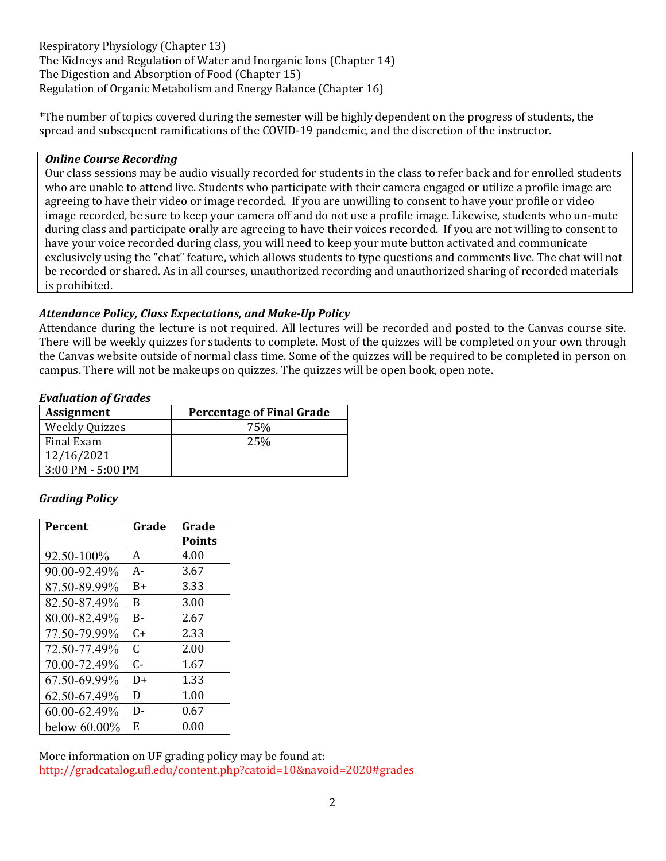Respiratory Physiology (Chapter 13) The Kidneys and Regulation of Water and Inorganic Ions (Chapter 14) The Digestion and Absorption of Food (Chapter 15) Regulation of Organic Metabolism and Energy Balance (Chapter 16)

\*The number of topics covered during the semester will be highly dependent on the progress of students, the spread and subsequent ramifications of the COVID-19 pandemic, and the discretion of the instructor.

# *Online Course Recording*

Our class sessions may be audio visually recorded for students in the class to refer back and for enrolled students who are unable to attend live. Students who participate with their camera engaged or utilize a profile image are agreeing to have their video or image recorded. If you are unwilling to consent to have your profile or video image recorded, be sure to keep your camera off and do not use a profile image. Likewise, students who un-mute during class and participate orally are agreeing to have their voices recorded. If you are not willing to consent to have your voice recorded during class, you will need to keep your mute button activated and communicate exclusively using the "chat" feature, which allows students to type questions and comments live. The chat will not be recorded or shared. As in all courses, unauthorized recording and unauthorized sharing of recorded materials is prohibited.

# *Attendance Policy, Class Expectations, and Make-Up Policy*

Attendance during the lecture is not required. All lectures will be recorded and posted to the Canvas course site. There will be weekly quizzes for students to complete. Most of the quizzes will be completed on your own through the Canvas website outside of normal class time. Some of the quizzes will be required to be completed in person on campus. There will not be makeups on quizzes. The quizzes will be open book, open note.

## *Evaluation of Grades*

| <b>Assignment</b>     | <b>Percentage of Final Grade</b> |  |
|-----------------------|----------------------------------|--|
| <b>Weekly Quizzes</b> | 75%                              |  |
| Final Exam            | 25%                              |  |
| 12/16/2021            |                                  |  |
| 3:00 PM - 5:00 PM     |                                  |  |

# *Grading Policy*

| Percent      | Grade | Grade         |
|--------------|-------|---------------|
|              |       | <b>Points</b> |
| 92.50-100%   | A     | 4.00          |
| 90.00-92.49% | А-    | 3.67          |
| 87.50-89.99% | B+    | 3.33          |
| 82.50-87.49% | B     | 3.00          |
| 80.00-82.49% | B-    | 2.67          |
| 77.50-79.99% | C+    | 2.33          |
| 72.50-77.49% | C     | 2.00          |
| 70.00-72.49% | C-    | 1.67          |
| 67.50-69.99% | D+    | 1.33          |
| 62.50-67.49% | D     | 1.00          |
| 60.00-62.49% | D-    | 0.67          |
| below 60.00% | E.    | 0.00          |

More information on UF grading policy may be found at: <http://gradcatalog.ufl.edu/content.php?catoid=10&navoid=2020#grades>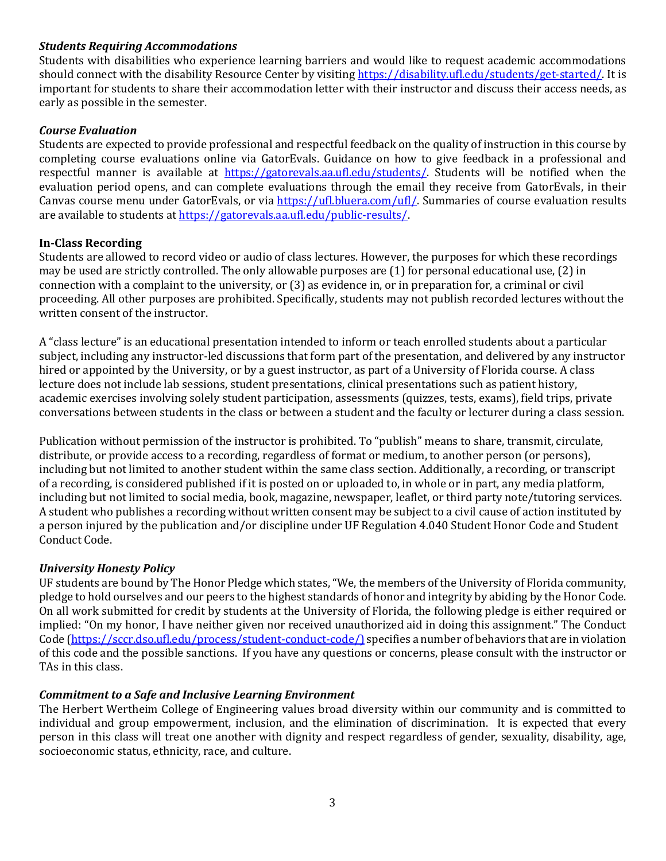### *Students Requiring Accommodations*

Students with disabilities who experience learning barriers and would like to request academic accommodations should connect with the disability Resource Center by visiting [https://disability.ufl.edu/students/get-started/.](https://disability.ufl.edu/students/get-started/) It is important for students to share their accommodation letter with their instructor and discuss their access needs, as early as possible in the semester.

#### *Course Evaluation*

Students are expected to provide professional and respectful feedback on the quality of instruction in this course by completing course evaluations online via GatorEvals. Guidance on how to give feedback in a professional and respectful manner is available at [https://gatorevals.aa.ufl.edu/students/.](https://gatorevals.aa.ufl.edu/students/) Students will be notified when the evaluation period opens, and can complete evaluations through the email they receive from GatorEvals, in their Canvas course menu under GatorEvals, or via [https://ufl.bluera.com/ufl/.](https://ufl.bluera.com/ufl/) Summaries of course evaluation results are available to students a[t https://gatorevals.aa.ufl.edu/public-results/.](https://gatorevals.aa.ufl.edu/public-results/)

#### **In-Class Recording**

Students are allowed to record video or audio of class lectures. However, the purposes for which these recordings may be used are strictly controlled. The only allowable purposes are (1) for personal educational use, (2) in connection with a complaint to the university, or (3) as evidence in, or in preparation for, a criminal or civil proceeding. All other purposes are prohibited. Specifically, students may not publish recorded lectures without the written consent of the instructor.

A "class lecture" is an educational presentation intended to inform or teach enrolled students about a particular subject, including any instructor-led discussions that form part of the presentation, and delivered by any instructor hired or appointed by the University, or by a guest instructor, as part of a University of Florida course. A class lecture does not include lab sessions, student presentations, clinical presentations such as patient history, academic exercises involving solely student participation, assessments (quizzes, tests, exams), field trips, private conversations between students in the class or between a student and the faculty or lecturer during a class session.

Publication without permission of the instructor is prohibited. To "publish" means to share, transmit, circulate, distribute, or provide access to a recording, regardless of format or medium, to another person (or persons), including but not limited to another student within the same class section. Additionally, a recording, or transcript of a recording, is considered published if it is posted on or uploaded to, in whole or in part, any media platform, including but not limited to social media, book, magazine, newspaper, leaflet, or third party note/tutoring services. A student who publishes a recording without written consent may be subject to a civil cause of action instituted by a person injured by the publication and/or discipline under UF Regulation 4.040 Student Honor Code and Student Conduct Code.

## *University Honesty Policy*

UF students are bound by The Honor Pledge which states, "We, the members of the University of Florida community, pledge to hold ourselves and our peers to the highest standards of honor and integrity by abiding by the Honor Code. On all work submitted for credit by students at the University of Florida, the following pledge is either required or implied: "On my honor, I have neither given nor received unauthorized aid in doing this assignment." The Conduct Code [\(https://sccr.dso.ufl.edu/process/student-conduct-code/\)](https://sccr.dso.ufl.edu/process/student-conduct-code/) specifies a number of behaviors that are in violation of this code and the possible sanctions. If you have any questions or concerns, please consult with the instructor or TAs in this class.

#### *Commitment to a Safe and Inclusive Learning Environment*

The Herbert Wertheim College of Engineering values broad diversity within our community and is committed to individual and group empowerment, inclusion, and the elimination of discrimination. It is expected that every person in this class will treat one another with dignity and respect regardless of gender, sexuality, disability, age, socioeconomic status, ethnicity, race, and culture.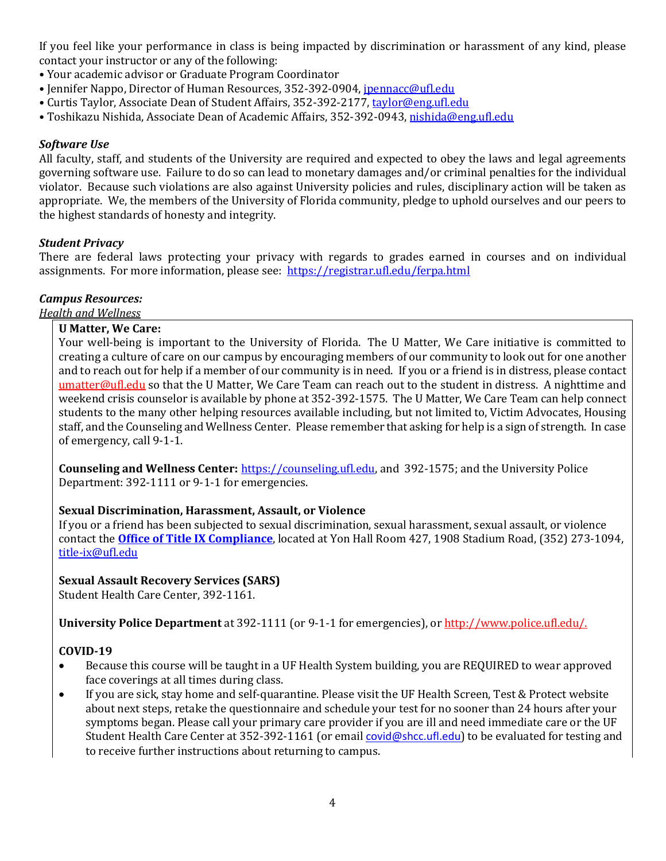If you feel like your performance in class is being impacted by discrimination or harassment of any kind, please contact your instructor or any of the following:

- Your academic advisor or Graduate Program Coordinator
- Jennifer Nappo, Director of Human Resources, 352-392-0904, [jpennacc@ufl.edu](mailto:jpennacc@ufl.edu)
- Curtis Taylor, Associate Dean of Student Affairs, 352-392-2177[, taylor@eng.ufl.edu](mailto:taylor@eng.ufl.edu)
- Toshikazu Nishida, Associate Dean of Academic Affairs, 352-392-0943[, nishida@eng.ufl.edu](mailto:nishida@eng.ufl.edu)

# *Software Use*

All faculty, staff, and students of the University are required and expected to obey the laws and legal agreements governing software use. Failure to do so can lead to monetary damages and/or criminal penalties for the individual violator. Because such violations are also against University policies and rules, disciplinary action will be taken as appropriate. We, the members of the University of Florida community, pledge to uphold ourselves and our peers to the highest standards of honesty and integrity.

# *Student Privacy*

There are federal laws protecting your privacy with regards to grades earned in courses and on individual assignments. For more information, please see: <https://registrar.ufl.edu/ferpa.html>

# *Campus Resources:*

*Health and Wellness* 

# **U Matter, We Care:**

Your well-being is important to the University of Florida. The U Matter, We Care initiative is committed to creating a culture of care on our campus by encouraging members of our community to look out for one another and to reach out for help if a member of our community is in need. If you or a friend is in distress, please contact [umatter@ufl.edu](mailto:umatter@ufl.edu) so that the U Matter, We Care Team can reach out to the student in distress. A nighttime and weekend crisis counselor is available by phone at 352-392-1575. The U Matter, We Care Team can help connect students to the many other helping resources available including, but not limited to, Victim Advocates, Housing staff, and the Counseling and Wellness Center. Please remember that asking for help is a sign of strength. In case of emergency, call 9-1-1.

**Counseling and Wellness Center:** [https://counseling.ufl.edu,](https://counseling.ufl.edu/) and 392-1575; and the University Police Department: 392-1111 or 9-1-1 for emergencies.

# **Sexual Discrimination, Harassment, Assault, or Violence**

If you or a friend has been subjected to sexual discrimination, sexual harassment, sexual assault, or violence contact the **[Office of Title IX Compliance](https://titleix.ufl.edu/)**, located at Yon Hall Room 427, 1908 Stadium Road, (352) 273-1094, [title-ix@ufl.edu](mailto:title-ix@ufl.edu)

# **Sexual Assault Recovery Services (SARS)**

Student Health Care Center, 392-1161.

**University Police Department** at 392-1111 (or 9-1-1 for emergencies), or [http://www.police.ufl.edu/.](http://www.police.ufl.edu/)

## **COVID-19**

- Because this course will be taught in a UF Health System building, you are REQUIRED to wear approved face coverings at all times during class.
- If you are sick, stay home and self-quarantine. Please visit the UF Health Screen, Test & Protect website about next steps, retake the questionnaire and schedule your test for no sooner than 24 hours after your symptoms began. Please call your primary care provider if you are ill and need immediate care or the UF Student Health Care Center at 352-392-1161 (or email [covid@shcc.ufl.edu](mailto:covid@shcc.ufl.edu)) to be evaluated for testing and to receive further instructions about returning to campus.